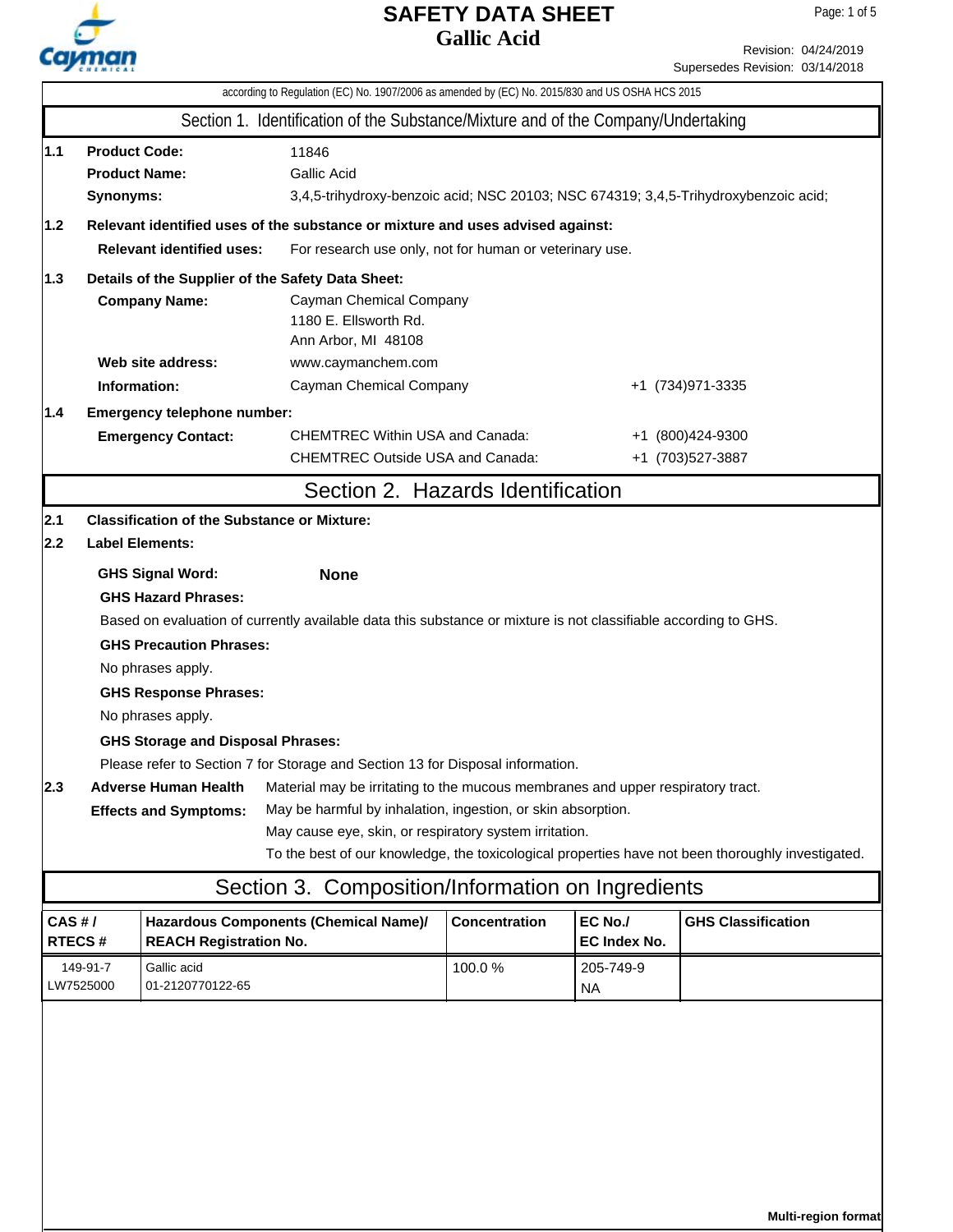

|                                                                                                                                                                                                                        | according to Regulation (EC) No. 1907/2006 as amended by (EC) No. 2015/830 and US OSHA HCS 2015                                                                                 |                                                                           |                                                                                                                 |               |                         |                                                                                                   |  |  |
|------------------------------------------------------------------------------------------------------------------------------------------------------------------------------------------------------------------------|---------------------------------------------------------------------------------------------------------------------------------------------------------------------------------|---------------------------------------------------------------------------|-----------------------------------------------------------------------------------------------------------------|---------------|-------------------------|---------------------------------------------------------------------------------------------------|--|--|
|                                                                                                                                                                                                                        |                                                                                                                                                                                 |                                                                           | Section 1. Identification of the Substance/Mixture and of the Company/Undertaking                               |               |                         |                                                                                                   |  |  |
| 1.1                                                                                                                                                                                                                    | <b>Product Code:</b><br>11846<br><b>Product Name:</b><br><b>Gallic Acid</b><br>3,4,5-trihydroxy-benzoic acid; NSC 20103; NSC 674319; 3,4,5-Trihydroxybenzoic acid;<br>Synonyms: |                                                                           |                                                                                                                 |               |                         |                                                                                                   |  |  |
| 1.2                                                                                                                                                                                                                    | Relevant identified uses of the substance or mixture and uses advised against:                                                                                                  |                                                                           |                                                                                                                 |               |                         |                                                                                                   |  |  |
| <b>Relevant identified uses:</b><br>For research use only, not for human or veterinary use.                                                                                                                            |                                                                                                                                                                                 |                                                                           |                                                                                                                 |               |                         |                                                                                                   |  |  |
| 1.3                                                                                                                                                                                                                    |                                                                                                                                                                                 | Details of the Supplier of the Safety Data Sheet:<br><b>Company Name:</b> | Cayman Chemical Company<br>1180 E. Ellsworth Rd.<br>Ann Arbor, MI 48108                                         |               |                         |                                                                                                   |  |  |
|                                                                                                                                                                                                                        |                                                                                                                                                                                 | Web site address:                                                         | www.caymanchem.com                                                                                              |               |                         |                                                                                                   |  |  |
|                                                                                                                                                                                                                        | Information:                                                                                                                                                                    |                                                                           | Cayman Chemical Company                                                                                         |               |                         | +1 (734) 971-3335                                                                                 |  |  |
| 1.4                                                                                                                                                                                                                    |                                                                                                                                                                                 | Emergency telephone number:                                               |                                                                                                                 |               |                         |                                                                                                   |  |  |
|                                                                                                                                                                                                                        |                                                                                                                                                                                 | <b>Emergency Contact:</b>                                                 | <b>CHEMTREC Within USA and Canada:</b>                                                                          |               | +1 (800)424-9300        |                                                                                                   |  |  |
|                                                                                                                                                                                                                        |                                                                                                                                                                                 |                                                                           | <b>CHEMTREC Outside USA and Canada:</b>                                                                         |               |                         | +1 (703) 527-3887                                                                                 |  |  |
|                                                                                                                                                                                                                        |                                                                                                                                                                                 |                                                                           | Section 2. Hazards Identification                                                                               |               |                         |                                                                                                   |  |  |
| 2.1                                                                                                                                                                                                                    |                                                                                                                                                                                 | <b>Classification of the Substance or Mixture:</b>                        |                                                                                                                 |               |                         |                                                                                                   |  |  |
| 2.2                                                                                                                                                                                                                    |                                                                                                                                                                                 | <b>Label Elements:</b>                                                    |                                                                                                                 |               |                         |                                                                                                   |  |  |
| <b>GHS Signal Word:</b><br><b>None</b>                                                                                                                                                                                 |                                                                                                                                                                                 |                                                                           |                                                                                                                 |               |                         |                                                                                                   |  |  |
|                                                                                                                                                                                                                        |                                                                                                                                                                                 | <b>GHS Hazard Phrases:</b>                                                |                                                                                                                 |               |                         |                                                                                                   |  |  |
|                                                                                                                                                                                                                        |                                                                                                                                                                                 |                                                                           | Based on evaluation of currently available data this substance or mixture is not classifiable according to GHS. |               |                         |                                                                                                   |  |  |
| <b>GHS Precaution Phrases:</b>                                                                                                                                                                                         |                                                                                                                                                                                 |                                                                           |                                                                                                                 |               |                         |                                                                                                   |  |  |
|                                                                                                                                                                                                                        | No phrases apply.                                                                                                                                                               |                                                                           |                                                                                                                 |               |                         |                                                                                                   |  |  |
| <b>GHS Response Phrases:</b>                                                                                                                                                                                           |                                                                                                                                                                                 |                                                                           |                                                                                                                 |               |                         |                                                                                                   |  |  |
|                                                                                                                                                                                                                        |                                                                                                                                                                                 | No phrases apply.                                                         |                                                                                                                 |               |                         |                                                                                                   |  |  |
|                                                                                                                                                                                                                        |                                                                                                                                                                                 | <b>GHS Storage and Disposal Phrases:</b>                                  |                                                                                                                 |               |                         |                                                                                                   |  |  |
|                                                                                                                                                                                                                        |                                                                                                                                                                                 |                                                                           | Please refer to Section 7 for Storage and Section 13 for Disposal information.                                  |               |                         |                                                                                                   |  |  |
| 2.3 <br><b>Adverse Human Health</b><br>Material may be irritating to the mucous membranes and upper respiratory tract.<br>May be harmful by inhalation, ingestion, or skin absorption.<br><b>Effects and Symptoms:</b> |                                                                                                                                                                                 |                                                                           |                                                                                                                 |               |                         |                                                                                                   |  |  |
|                                                                                                                                                                                                                        |                                                                                                                                                                                 |                                                                           | May cause eye, skin, or respiratory system irritation.                                                          |               |                         |                                                                                                   |  |  |
|                                                                                                                                                                                                                        |                                                                                                                                                                                 |                                                                           |                                                                                                                 |               |                         | To the best of our knowledge, the toxicological properties have not been thoroughly investigated. |  |  |
|                                                                                                                                                                                                                        |                                                                                                                                                                                 |                                                                           | Section 3. Composition/Information on Ingredients                                                               |               |                         |                                                                                                   |  |  |
| CAS#/<br>RTECS#                                                                                                                                                                                                        |                                                                                                                                                                                 | <b>REACH Registration No.</b>                                             | Hazardous Components (Chemical Name)/                                                                           | Concentration | EC No./<br>EC Index No. | <b>GHS Classification</b>                                                                         |  |  |
|                                                                                                                                                                                                                        | 149-91-7                                                                                                                                                                        | Gallic acid                                                               |                                                                                                                 | 100.0%        | 205-749-9               |                                                                                                   |  |  |
| LW7525000                                                                                                                                                                                                              |                                                                                                                                                                                 | 01-2120770122-65                                                          |                                                                                                                 |               | <b>NA</b>               |                                                                                                   |  |  |
|                                                                                                                                                                                                                        |                                                                                                                                                                                 |                                                                           |                                                                                                                 |               |                         |                                                                                                   |  |  |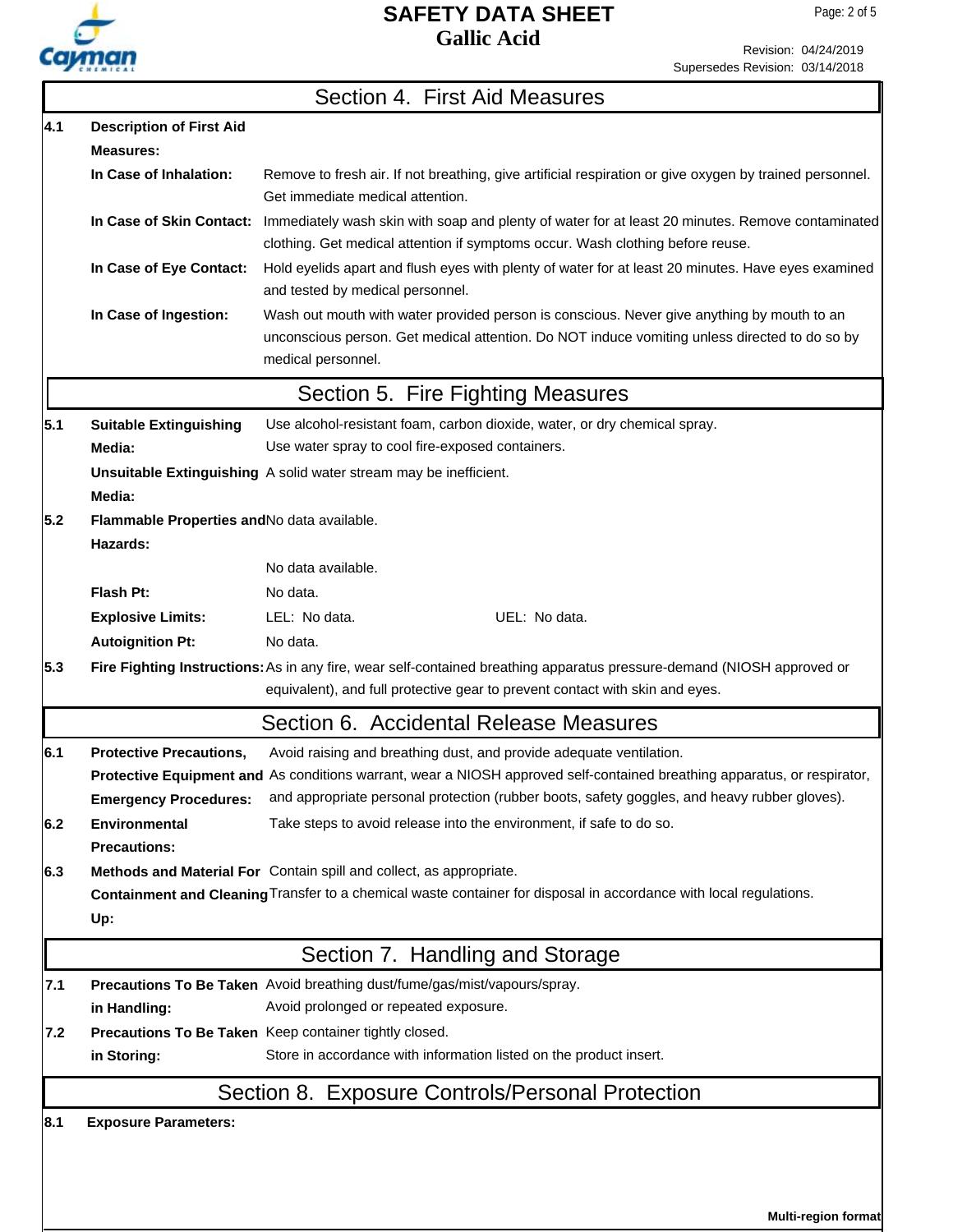

Revision: 04/24/2019 Supersedes Revision: 03/14/2018

|     |                                                         | Section 4. First Aid Measures                                                                                                                                                                                     |
|-----|---------------------------------------------------------|-------------------------------------------------------------------------------------------------------------------------------------------------------------------------------------------------------------------|
| 4.1 | <b>Description of First Aid</b>                         |                                                                                                                                                                                                                   |
|     | <b>Measures:</b>                                        |                                                                                                                                                                                                                   |
|     | In Case of Inhalation:                                  | Remove to fresh air. If not breathing, give artificial respiration or give oxygen by trained personnel.<br>Get immediate medical attention.                                                                       |
|     | In Case of Skin Contact:                                | Immediately wash skin with soap and plenty of water for at least 20 minutes. Remove contaminated<br>clothing. Get medical attention if symptoms occur. Wash clothing before reuse.                                |
|     | In Case of Eye Contact:                                 | Hold eyelids apart and flush eyes with plenty of water for at least 20 minutes. Have eyes examined<br>and tested by medical personnel.                                                                            |
|     | In Case of Ingestion:                                   | Wash out mouth with water provided person is conscious. Never give anything by mouth to an<br>unconscious person. Get medical attention. Do NOT induce vomiting unless directed to do so by<br>medical personnel. |
|     |                                                         | Section 5. Fire Fighting Measures                                                                                                                                                                                 |
| 5.1 | <b>Suitable Extinguishing</b>                           | Use alcohol-resistant foam, carbon dioxide, water, or dry chemical spray.                                                                                                                                         |
|     | Media:                                                  | Use water spray to cool fire-exposed containers.                                                                                                                                                                  |
|     |                                                         | Unsuitable Extinguishing A solid water stream may be inefficient.                                                                                                                                                 |
|     | Media:                                                  |                                                                                                                                                                                                                   |
| 5.2 | Flammable Properties and No data available.<br>Hazards: |                                                                                                                                                                                                                   |
|     |                                                         | No data available.                                                                                                                                                                                                |
|     | <b>Flash Pt:</b>                                        | No data.                                                                                                                                                                                                          |
|     | <b>Explosive Limits:</b>                                | LEL: No data.<br>UEL: No data.                                                                                                                                                                                    |
|     | <b>Autoignition Pt:</b>                                 | No data.                                                                                                                                                                                                          |
| 5.3 |                                                         | Fire Fighting Instructions: As in any fire, wear self-contained breathing apparatus pressure-demand (NIOSH approved or<br>equivalent), and full protective gear to prevent contact with skin and eyes.            |
|     |                                                         | Section 6. Accidental Release Measures                                                                                                                                                                            |
| 6.1 | <b>Protective Precautions,</b>                          | Avoid raising and breathing dust, and provide adequate ventilation.                                                                                                                                               |
|     |                                                         | Protective Equipment and As conditions warrant, wear a NIOSH approved self-contained breathing apparatus, or respirator,                                                                                          |
|     | <b>Emergency Procedures:</b>                            | and appropriate personal protection (rubber boots, safety goggles, and heavy rubber gloves).                                                                                                                      |
| 6.2 | <b>Environmental</b>                                    | Take steps to avoid release into the environment, if safe to do so.                                                                                                                                               |
|     | <b>Precautions:</b>                                     |                                                                                                                                                                                                                   |
| 6.3 |                                                         | Methods and Material For Contain spill and collect, as appropriate.                                                                                                                                               |
|     |                                                         | Containment and Cleaning Transfer to a chemical waste container for disposal in accordance with local regulations.                                                                                                |
|     | Up:                                                     |                                                                                                                                                                                                                   |
|     |                                                         | Section 7. Handling and Storage                                                                                                                                                                                   |
| 7.1 |                                                         | Precautions To Be Taken Avoid breathing dust/fume/gas/mist/vapours/spray.                                                                                                                                         |
|     | in Handling:                                            | Avoid prolonged or repeated exposure.                                                                                                                                                                             |
| 7.2 |                                                         | Precautions To Be Taken Keep container tightly closed.                                                                                                                                                            |
|     | in Storing:                                             | Store in accordance with information listed on the product insert.                                                                                                                                                |
|     |                                                         | Section 8. Exposure Controls/Personal Protection                                                                                                                                                                  |
| 8.1 | <b>Exposure Parameters:</b>                             |                                                                                                                                                                                                                   |
|     |                                                         |                                                                                                                                                                                                                   |

**Multi-region format**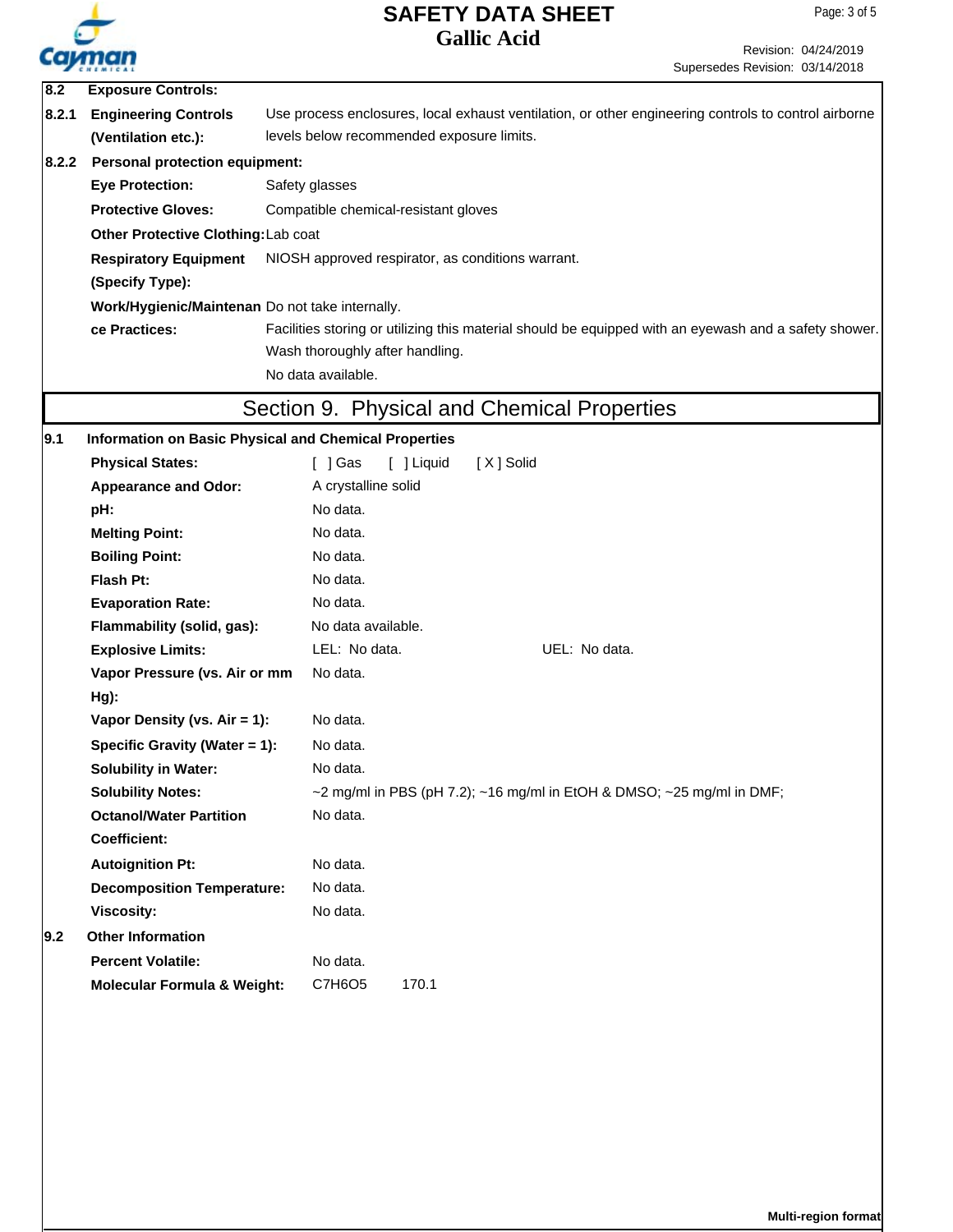

| $\overline{8.2}$ | <b>Exposure Controls:</b>                                                                                                           |                                                                                                       |  |  |  |  |
|------------------|-------------------------------------------------------------------------------------------------------------------------------------|-------------------------------------------------------------------------------------------------------|--|--|--|--|
| 8.2.1            | <b>Engineering Controls</b><br>Use process enclosures, local exhaust ventilation, or other engineering controls to control airborne |                                                                                                       |  |  |  |  |
|                  | (Ventilation etc.):                                                                                                                 | levels below recommended exposure limits.                                                             |  |  |  |  |
| 8.2.2            | <b>Personal protection equipment:</b>                                                                                               |                                                                                                       |  |  |  |  |
|                  | <b>Eye Protection:</b><br>Safety glasses<br><b>Protective Gloves:</b><br>Compatible chemical-resistant gloves                       |                                                                                                       |  |  |  |  |
|                  |                                                                                                                                     |                                                                                                       |  |  |  |  |
|                  | Other Protective Clothing: Lab coat                                                                                                 |                                                                                                       |  |  |  |  |
|                  | <b>Respiratory Equipment</b>                                                                                                        | NIOSH approved respirator, as conditions warrant.                                                     |  |  |  |  |
|                  | (Specify Type):                                                                                                                     |                                                                                                       |  |  |  |  |
|                  | Work/Hygienic/Maintenan Do not take internally.                                                                                     |                                                                                                       |  |  |  |  |
|                  | ce Practices:                                                                                                                       | Facilities storing or utilizing this material should be equipped with an eyewash and a safety shower. |  |  |  |  |
|                  |                                                                                                                                     | Wash thoroughly after handling.                                                                       |  |  |  |  |
|                  |                                                                                                                                     | No data available.                                                                                    |  |  |  |  |
|                  |                                                                                                                                     | Section 9. Physical and Chemical Properties                                                           |  |  |  |  |
|                  |                                                                                                                                     |                                                                                                       |  |  |  |  |
| 9.1              | Information on Basic Physical and Chemical Properties<br><b>Physical States:</b>                                                    |                                                                                                       |  |  |  |  |
|                  |                                                                                                                                     | [ ] Gas<br>[ ] Liquid<br>[X] Solid                                                                    |  |  |  |  |
|                  | <b>Appearance and Odor:</b>                                                                                                         | A crystalline solid                                                                                   |  |  |  |  |
|                  | pH:                                                                                                                                 | No data.                                                                                              |  |  |  |  |
|                  | <b>Melting Point:</b>                                                                                                               | No data.                                                                                              |  |  |  |  |
|                  | <b>Boiling Point:</b>                                                                                                               | No data.                                                                                              |  |  |  |  |
|                  | Flash Pt:                                                                                                                           | No data.                                                                                              |  |  |  |  |
|                  | <b>Evaporation Rate:</b>                                                                                                            | No data.                                                                                              |  |  |  |  |
|                  | Flammability (solid, gas):                                                                                                          | No data available.                                                                                    |  |  |  |  |
|                  | <b>Explosive Limits:</b>                                                                                                            | LEL: No data.<br>UEL: No data.                                                                        |  |  |  |  |
|                  | Vapor Pressure (vs. Air or mm                                                                                                       | No data.                                                                                              |  |  |  |  |
|                  | Hg):                                                                                                                                |                                                                                                       |  |  |  |  |
|                  | Vapor Density (vs. Air = 1):                                                                                                        | No data.                                                                                              |  |  |  |  |
|                  | Specific Gravity (Water = 1):                                                                                                       | No data.                                                                                              |  |  |  |  |
|                  | <b>Solubility in Water:</b>                                                                                                         | No data.                                                                                              |  |  |  |  |
|                  | <b>Solubility Notes:</b>                                                                                                            | $\sim$ 2 mg/ml in PBS (pH 7.2); $\sim$ 16 mg/ml in EtOH & DMSO; $\sim$ 25 mg/ml in DMF;               |  |  |  |  |
|                  | <b>Octanol/Water Partition</b>                                                                                                      | No data.                                                                                              |  |  |  |  |
|                  | Coefficient:                                                                                                                        |                                                                                                       |  |  |  |  |
|                  | <b>Autoignition Pt:</b>                                                                                                             | No data.                                                                                              |  |  |  |  |
|                  | <b>Decomposition Temperature:</b>                                                                                                   | No data.                                                                                              |  |  |  |  |
|                  | <b>Viscosity:</b>                                                                                                                   | No data.                                                                                              |  |  |  |  |
| 9.2              | <b>Other Information</b>                                                                                                            |                                                                                                       |  |  |  |  |
|                  | <b>Percent Volatile:</b>                                                                                                            | No data.                                                                                              |  |  |  |  |
|                  | <b>Molecular Formula &amp; Weight:</b>                                                                                              | C7H6O5<br>170.1                                                                                       |  |  |  |  |
|                  |                                                                                                                                     |                                                                                                       |  |  |  |  |
|                  |                                                                                                                                     |                                                                                                       |  |  |  |  |
|                  |                                                                                                                                     |                                                                                                       |  |  |  |  |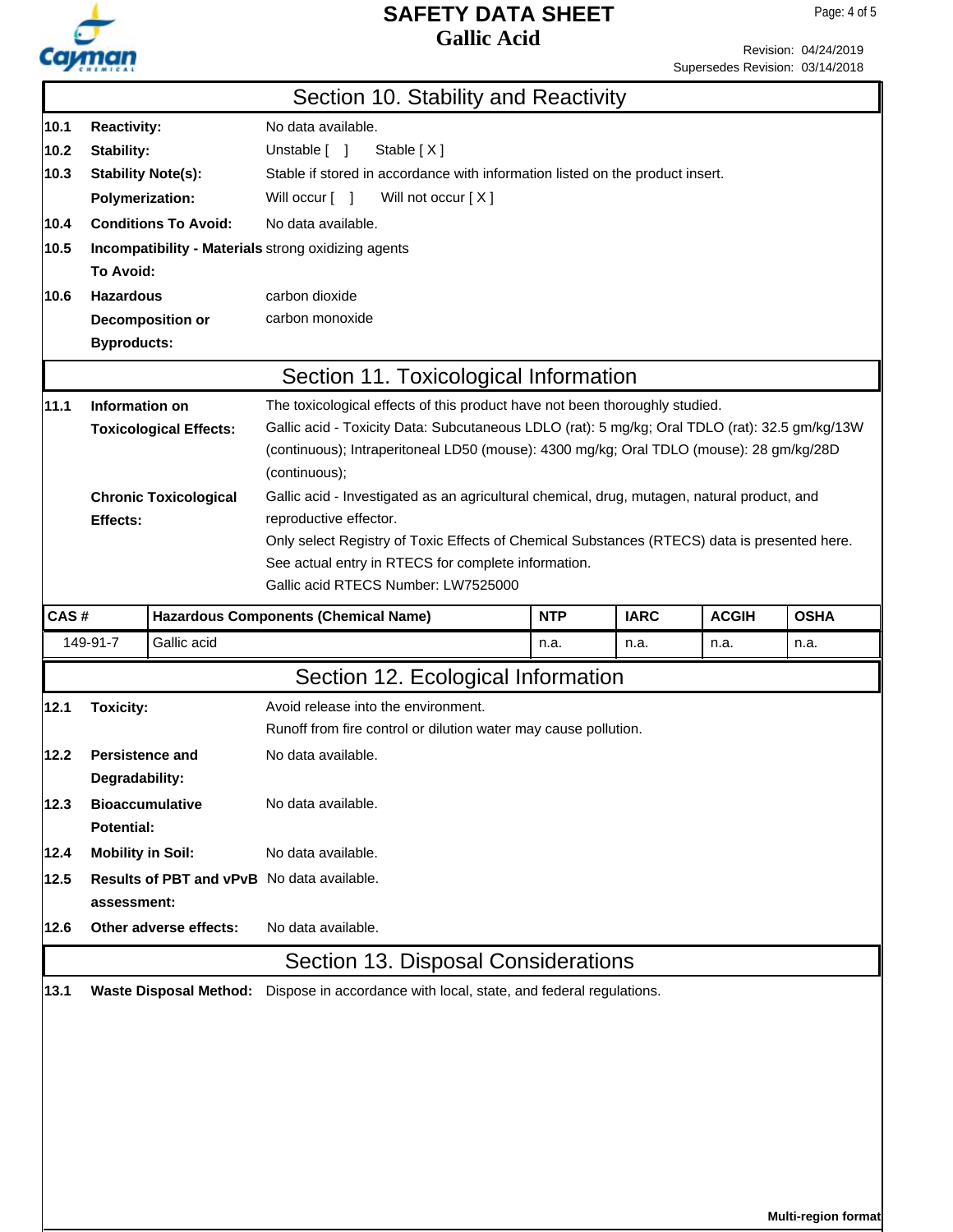

**Multi-region format**

|      |                                                                                                                     |                               | Section 10. Stability and Reactivity                                                           |            |             |              |             |  |  |
|------|---------------------------------------------------------------------------------------------------------------------|-------------------------------|------------------------------------------------------------------------------------------------|------------|-------------|--------------|-------------|--|--|
| 10.1 | No data available.                                                                                                  |                               |                                                                                                |            |             |              |             |  |  |
| 10.2 | <b>Reactivity:</b><br>Stability:<br>Unstable [ ]<br>Stable [X]                                                      |                               |                                                                                                |            |             |              |             |  |  |
| 10.3 | <b>Stability Note(s):</b><br>Stable if stored in accordance with information listed on the product insert.          |                               |                                                                                                |            |             |              |             |  |  |
|      |                                                                                                                     |                               |                                                                                                |            |             |              |             |  |  |
| 10.4 | <b>Polymerization:</b><br>Will occur [ ]<br>Will not occur [X]<br><b>Conditions To Avoid:</b><br>No data available. |                               |                                                                                                |            |             |              |             |  |  |
|      |                                                                                                                     |                               |                                                                                                |            |             |              |             |  |  |
| 10.5 |                                                                                                                     |                               | Incompatibility - Materials strong oxidizing agents                                            |            |             |              |             |  |  |
|      | To Avoid:                                                                                                           |                               |                                                                                                |            |             |              |             |  |  |
| 10.6 | <b>Hazardous</b>                                                                                                    |                               | carbon dioxide                                                                                 |            |             |              |             |  |  |
|      |                                                                                                                     | <b>Decomposition or</b>       | carbon monoxide                                                                                |            |             |              |             |  |  |
|      | <b>Byproducts:</b>                                                                                                  |                               |                                                                                                |            |             |              |             |  |  |
|      |                                                                                                                     |                               | Section 11. Toxicological Information                                                          |            |             |              |             |  |  |
| 11.1 | Information on                                                                                                      |                               | The toxicological effects of this product have not been thoroughly studied.                    |            |             |              |             |  |  |
|      |                                                                                                                     | <b>Toxicological Effects:</b> | Gallic acid - Toxicity Data: Subcutaneous LDLO (rat): 5 mg/kg; Oral TDLO (rat): 32.5 gm/kg/13W |            |             |              |             |  |  |
|      |                                                                                                                     |                               | (continuous); Intraperitoneal LD50 (mouse): 4300 mg/kg; Oral TDLO (mouse): 28 gm/kg/28D        |            |             |              |             |  |  |
|      |                                                                                                                     |                               | (continuous);                                                                                  |            |             |              |             |  |  |
|      |                                                                                                                     | <b>Chronic Toxicological</b>  | Gallic acid - Investigated as an agricultural chemical, drug, mutagen, natural product, and    |            |             |              |             |  |  |
|      | Effects:                                                                                                            |                               | reproductive effector.                                                                         |            |             |              |             |  |  |
|      |                                                                                                                     |                               | Only select Registry of Toxic Effects of Chemical Substances (RTECS) data is presented here.   |            |             |              |             |  |  |
|      |                                                                                                                     |                               | See actual entry in RTECS for complete information.<br>Gallic acid RTECS Number: LW7525000     |            |             |              |             |  |  |
|      |                                                                                                                     |                               |                                                                                                |            |             |              |             |  |  |
| CAS# |                                                                                                                     |                               | <b>Hazardous Components (Chemical Name)</b>                                                    | <b>NTP</b> | <b>IARC</b> | <b>ACGIH</b> | <b>OSHA</b> |  |  |
|      | 149-91-7                                                                                                            | Gallic acid                   |                                                                                                | n.a.       | n.a.        | n.a.         | n.a.        |  |  |
|      |                                                                                                                     |                               | Section 12. Ecological Information                                                             |            |             |              |             |  |  |
| 12.1 | <b>Toxicity:</b>                                                                                                    |                               | Avoid release into the environment.                                                            |            |             |              |             |  |  |
|      |                                                                                                                     |                               | Runoff from fire control or dilution water may cause pollution.                                |            |             |              |             |  |  |
| 12.2 | <b>Persistence and</b>                                                                                              |                               | No data available.                                                                             |            |             |              |             |  |  |
|      | Degradability:                                                                                                      |                               |                                                                                                |            |             |              |             |  |  |
| 12.3 |                                                                                                                     | <b>Bioaccumulative</b>        | No data available.                                                                             |            |             |              |             |  |  |
|      | Potential:                                                                                                          |                               |                                                                                                |            |             |              |             |  |  |
| 12.4 | <b>Mobility in Soil:</b>                                                                                            |                               | No data available.                                                                             |            |             |              |             |  |  |
| 12.5 |                                                                                                                     |                               | <b>Results of PBT and vPvB</b> No data available.                                              |            |             |              |             |  |  |
|      | assessment:                                                                                                         |                               |                                                                                                |            |             |              |             |  |  |
| 12.6 |                                                                                                                     | Other adverse effects:        | No data available.                                                                             |            |             |              |             |  |  |
|      |                                                                                                                     |                               | Section 13. Disposal Considerations                                                            |            |             |              |             |  |  |
|      |                                                                                                                     |                               |                                                                                                |            |             |              |             |  |  |
| 13.1 |                                                                                                                     |                               | Waste Disposal Method: Dispose in accordance with local, state, and federal regulations.       |            |             |              |             |  |  |
|      |                                                                                                                     |                               |                                                                                                |            |             |              |             |  |  |
|      |                                                                                                                     |                               |                                                                                                |            |             |              |             |  |  |
|      |                                                                                                                     |                               |                                                                                                |            |             |              |             |  |  |
|      |                                                                                                                     |                               |                                                                                                |            |             |              |             |  |  |
|      |                                                                                                                     |                               |                                                                                                |            |             |              |             |  |  |
|      |                                                                                                                     |                               |                                                                                                |            |             |              |             |  |  |
|      |                                                                                                                     |                               |                                                                                                |            |             |              |             |  |  |
|      |                                                                                                                     |                               |                                                                                                |            |             |              |             |  |  |